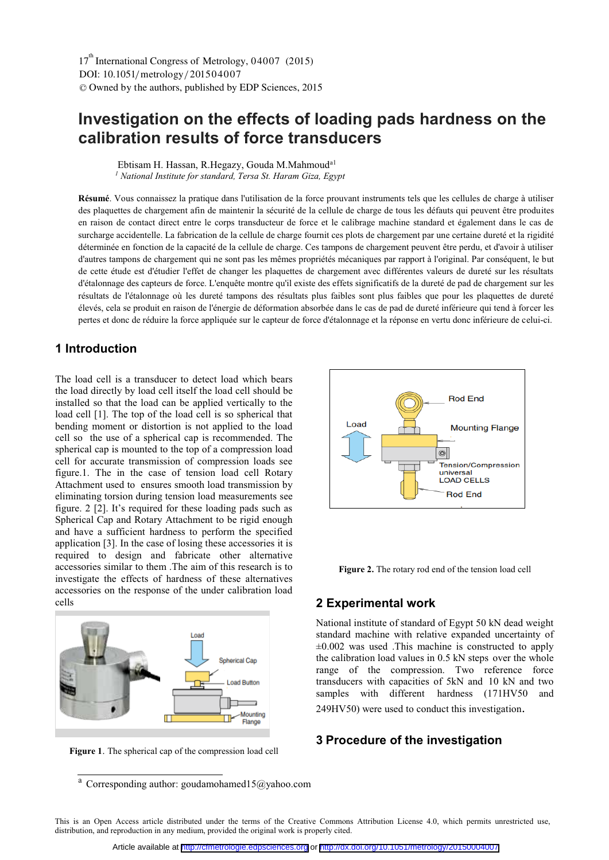# **Investigation on the effects of loading pads hardness on the calibration results of force transducers**

 Ebtisam H. Hassan, R.Hegazy, Gouda M.Mahmouda1 *1 National Institute for standard, Tersa St. Haram Giza, Egypt*

**Résumé**. Vous connaissez la pratique dans l'utilisation de la force prouvant instruments tels que les cellules de charge à utiliser des plaquettes de chargement afin de maintenir la sécurité de la cellule de charge de tous les défauts qui peuvent être produites en raison de contact direct entre le corps transducteur de force et le calibrage machine standard et également dans le cas de surcharge accidentelle. La fabrication de la cellule de charge fournit ces plots de chargement par une certaine dureté et la rigidité déterminée en fonction de la capacité de la cellule de charge. Ces tampons de chargement peuvent être perdu, et d'avoir à utiliser d'autres tampons de chargement qui ne sont pas les mêmes propriétés mécaniques par rapport à l'original. Par conséquent, le but de cette étude est d'étudier l'effet de changer les plaquettes de chargement avec différentes valeurs de dureté sur les résultats d'étalonnage des capteurs de force. L'enquête montre qu'il existe des effets significatifs de la dureté de pad de chargement sur les résultats de l'étalonnage où les dureté tampons des résultats plus faibles sont plus faibles que pour les plaquettes de dureté élevés, cela se produit en raison de l'énergie de déformation absorbée dans le cas de pad de dureté inférieure qui tend à forcer les pertes et donc de réduire la force appliquée sur le capteur de force d'étalonnage et la réponse en vertu donc inférieure de celui-ci.

# **1 Introduction**

The load cell is a transducer to detect load which bears the load directly by load cell itself the load cell should be installed so that the load can be applied vertically to the load cell [1]. The top of the load cell is so spherical that bending moment or distortion is not applied to the load cell so the use of a spherical cap is recommended. The spherical cap is mounted to the top of a compression load cell for accurate transmission of compression loads see figure.1. The in the case of tension load cell Rotary Attachment used to ensures smooth load transmission by eliminating torsion during tension load measurements see figure. 2 [2]. It's required for these loading pads such as Spherical Cap and Rotary Attachment to be rigid enough and have a sufficient hardness to perform the specified application [3]. In the case of losing these accessories it is required to design and fabricate other alternative accessories similar to them .The aim of this research is to investigate the effects of hardness of these alternatives accessories on the response of the under calibration load cells



**Figure 1**. The spherical cap of the compression load cell

a Corresponding author: goudamohamed15@yahoo.com



**Figure 2.** The rotary rod end of the tension load cell

#### **2 Experimental work**

National institute of standard of Egypt 50 kN dead weight standard machine with relative expanded uncertainty of  $\pm 0.002$  was used .This machine is constructed to apply the calibration load values in 0.5 kN steps over the whole range of the compression. Two reference force transducers with capacities of 5kN and 10 kN and two samples with different hardness (171HV50 and 249HV50) were used to conduct this investigation.

### **3 Procedure of the investigation**

This is an Open Access article distributed under the terms of the Creative Commons Attribution License 4.0, which permits unrestricted use, distribution, and reproduction in any medium, provided the original work is properly cited.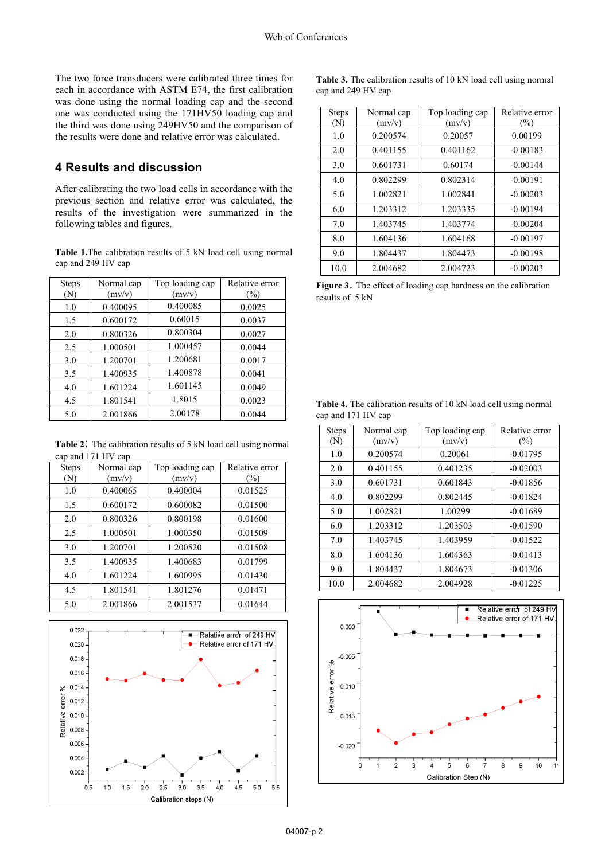The two force transducers were calibrated three times for each in accordance with ASTM E74, the first calibration was done using the normal loading cap and the second one was conducted using the 171HV50 loading cap and the third was done using 249HV50 and the comparison of the results were done and relative error was calculated.

# **4 Results and discussion**

After calibrating the two load cells in accordance with the previous section and relative error was calculated, the results of the investigation were summarized in the following tables and figures.

**Table 1.**The calibration results of 5 kN load cell using normal cap and 249 HV cap

| <b>Steps</b> | Normal cap | Top loading cap | Relative error |
|--------------|------------|-----------------|----------------|
| (N)          | (mv/v)     | (mv/v)          | (%)            |
| 1.0          | 0.400095   | 0.400085        | 0.0025         |
| 1.5          | 0.600172   | 0.60015         | 0.0037         |
| 2.0          | 0.800326   | 0.800304        | 0.0027         |
| 2.5          | 1.000501   | 1.000457        | 0.0044         |
| 3.0          | 1.200701   | 1.200681        | 0.0017         |
| 3.5          | 1.400935   | 1.400878        | 0.0041         |
| 4.0          | 1.601224   | 1.601145        | 0.0049         |
| 4.5          | 1.801541   | 1.8015          | 0.0023         |
| 5.0          | 2.001866   | 2.00178         | 0.0044         |

**Table 2**: The calibration results of 5 kN load cell using normal cap and 171 HV cap

| <b>Steps</b> | Normal cap | Top loading cap | Relative error |
|--------------|------------|-----------------|----------------|
| (N)          | (mv/v)     | (mv/v)          | $(\%)$         |
| 1.0          | 0.400065   | 0.400004        | 0.01525        |
| 1.5          | 0.600172   | 0.600082        | 0.01500        |
| 2.0          | 0.800326   | 0.800198        | 0.01600        |
| 2.5          | 1.000501   | 1.000350        | 0.01509        |
| 3.0          | 1.200701   | 1.200520        | 0.01508        |
| 3.5          | 1.400935   | 1.400683        | 0.01799        |
| 4.0          | 1.601224   | 1.600995        | 0.01430        |
| 4.5          | 1.801541   | 1.801276        | 0.01471        |
| 5.0          | 2.001866   | 2.001537        | 0.01644        |



**Table 3.** The calibration results of 10 kN load cell using normal cap and 249 HV cap

| <b>Steps</b><br>(N) | Normal cap<br>(mv/v) | Top loading cap<br>(mv/v) | Relative error<br>$(\%)$ |
|---------------------|----------------------|---------------------------|--------------------------|
| 1.0                 | 0.200574             | 0.20057                   | 0.00199                  |
| 2.0                 | 0.401155             | 0.401162                  | $-0.00183$               |
| 3.0                 | 0.601731             | 0.60174                   | $-0.00144$               |
| 4.0                 | 0.802299             | 0.802314                  | $-0.00191$               |
| 5.0                 | 1.002821             | 1.002841                  | $-0.00203$               |
| 6.0                 | 1.203312             | 1.203335                  | $-0.00194$               |
| 7.0                 | 1.403745             | 1.403774                  | $-0.00204$               |
| 8.0                 | 1.604136             | 1.604168                  | $-0.00197$               |
| 9.0                 | 1.804437             | 1.804473                  | $-0.00198$               |
| 10.0                | 2.004682             | 2.004723                  | $-0.00203$               |

**Figure 3**. The effect of loading cap hardness on the calibration results of 5 kN

| Table 4. The calibration results of 10 kN load cell using normal |  |  |  |  |
|------------------------------------------------------------------|--|--|--|--|
| cap and 171 HV cap                                               |  |  |  |  |

| <b>Steps</b><br>(N) | Normal cap<br>(mv/v) | Top loading cap<br>(mv/v) | Relative error<br>(%) |
|---------------------|----------------------|---------------------------|-----------------------|
| 1.0                 | 0.200574             | 0.20061                   | $-0.01795$            |
| 2.0                 | 0.401155             | 0.401235                  | $-0.02003$            |
| 3.0                 | 0.601731             | 0.601843                  | $-0.01856$            |
| 4.0                 | 0.802299             | 0.802445                  | $-0.01824$            |
| 5.0                 | 1.002821             | 1.00299                   | $-0.01689$            |
| 6.0                 | 1.203312             | 1.203503                  | $-0.01590$            |
| 7.0                 | 1.403745             | 1.403959                  | $-0.01522$            |
| 8.0                 | 1.604136             | 1.604363                  | $-0.01413$            |
| 9.0                 | 1.804437             | 1.804673                  | $-0.01306$            |
| 10.0                | 2.004682             | 2.004928                  | $-0.01225$            |